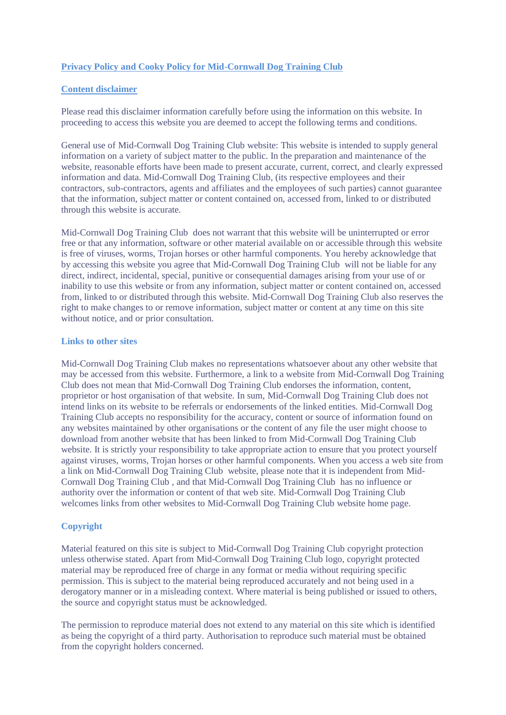# **Privacy Policy and Cooky Policy for Mid-Cornwall Dog Training Club**

### **Content disclaimer**

Please read this disclaimer information carefully before using the information on this website. In proceeding to access this website you are deemed to accept the following terms and conditions.

General use of Mid-Cornwall Dog Training Club website: This website is intended to supply general information on a variety of subject matter to the public. In the preparation and maintenance of the website, reasonable efforts have been made to present accurate, current, correct, and clearly expressed information and data. Mid-Cornwall Dog Training Club, (its respective employees and their contractors, sub-contractors, agents and affiliates and the employees of such parties) cannot guarantee that the information, subject matter or content contained on, accessed from, linked to or distributed through this website is accurate.

Mid-Cornwall Dog Training Club does not warrant that this website will be uninterrupted or error free or that any information, software or other material available on or accessible through this website is free of viruses, worms, Trojan horses or other harmful components. You hereby acknowledge that by accessing this website you agree that Mid-Cornwall Dog Training Club will not be liable for any direct, indirect, incidental, special, punitive or consequential damages arising from your use of or inability to use this website or from any information, subject matter or content contained on, accessed from, linked to or distributed through this website. Mid-Cornwall Dog Training Club also reserves the right to make changes to or remove information, subject matter or content at any time on this site without notice, and or prior consultation.

#### **Links to other sites**

Mid-Cornwall Dog Training Club makes no representations whatsoever about any other website that may be accessed from this website. Furthermore, a link to a website from Mid-Cornwall Dog Training Club does not mean that Mid-Cornwall Dog Training Club endorses the information, content, proprietor or host organisation of that website. In sum, Mid-Cornwall Dog Training Club does not intend links on its website to be referrals or endorsements of the linked entities. Mid-Cornwall Dog Training Club accepts no responsibility for the accuracy, content or source of information found on any websites maintained by other organisations or the content of any file the user might choose to download from another website that has been linked to from Mid-Cornwall Dog Training Club website. It is strictly your responsibility to take appropriate action to ensure that you protect yourself against viruses, worms, Trojan horses or other harmful components. When you access a web site from a link on Mid-Cornwall Dog Training Club website, please note that it is independent from Mid-Cornwall Dog Training Club , and that Mid-Cornwall Dog Training Club has no influence or authority over the information or content of that web site. Mid-Cornwall Dog Training Club welcomes links from other websites to Mid-Cornwall Dog Training Club website home page.

# **Copyright**

Material featured on this site is subject to Mid-Cornwall Dog Training Club copyright protection unless otherwise stated. Apart from Mid-Cornwall Dog Training Club logo, copyright protected material may be reproduced free of charge in any format or media without requiring specific permission. This is subject to the material being reproduced accurately and not being used in a derogatory manner or in a misleading context. Where material is being published or issued to others, the source and copyright status must be acknowledged.

The permission to reproduce material does not extend to any material on this site which is identified as being the copyright of a third party. Authorisation to reproduce such material must be obtained from the copyright holders concerned.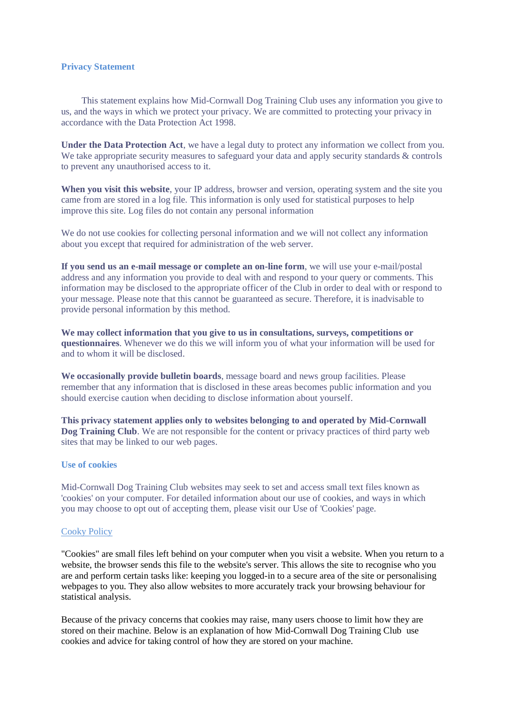#### **Privacy Statement**

This statement explains how Mid-Cornwall Dog Training Club uses any information you give to us, and the ways in which we protect your privacy. We are committed to protecting your privacy in accordance with the [Data Protection Act 1998.](http://www.highland.gov.uk/yourcouncil/accesstoinformation/dataprotection/)

**Under the Data Protection Act**, we have a legal duty to protect any information we collect from you. We take appropriate security measures to safeguard your data and apply security standards & controls to prevent any unauthorised access to it.

**When you visit this website**, your IP address, browser and version, operating system and the site you came from are stored in a log file. This information is only used for statistical purposes to help improve this site. Log files do not contain any personal information

We do not use cookies for collecting personal information and we will not collect any information about you except that required for administration of the web server.

**If you send us an e-mail message or complete an on-line form**, we will use your e-mail/postal address and any information you provide to deal with and respond to your query or comments. This information may be disclosed to the appropriate officer of the Club in order to deal with or respond to your message. Please note that this cannot be guaranteed as secure. Therefore, it is inadvisable to provide personal information by this method.

**We may collect information that you give to us in consultations, surveys, competitions or questionnaires**. Whenever we do this we will inform you of what your information will be used for and to whom it will be disclosed.

**We occasionally provide bulletin boards**, message board and news group facilities. Please remember that any information that is disclosed in these areas becomes public information and you should exercise caution when deciding to disclose information about yourself.

**This privacy statement applies only to websites belonging to and operated by Mid-Cornwall Dog Training Club**. We are not responsible for the content or privacy practices of third party web sites that may be linked to our web pages.

#### **Use of cookies**

Mid-Cornwall Dog Training Club websites may seek to set and access small text files known as 'cookies' on your computer. For detailed information about our use of cookies, and ways in which you may choose to opt out of accepting them, please visit our Use of 'Cookies' page.

#### Cooky Policy

"Cookies" are small files left behind on your computer when you visit a website. When you return to a website, the browser sends this file to the website's server. This allows the site to recognise who you are and perform certain tasks like: keeping you logged-in to a secure area of the site or personalising webpages to you. They also allow websites to more accurately track your browsing behaviour for statistical analysis.

Because of the privacy concerns that cookies may raise, many users choose to limit how they are stored on their machine. Below is an explanation of how Mid-Cornwall Dog Training Club use cookies and advice for taking control of how they are stored on your machine.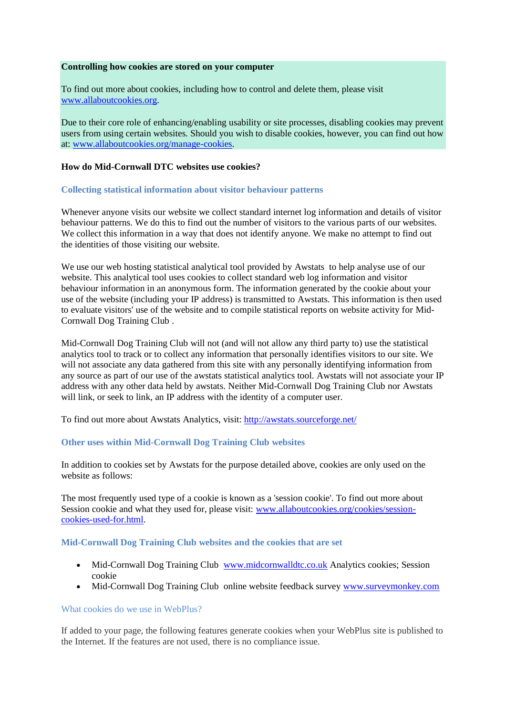#### **Controlling how cookies are stored on your computer**

To find out more about cookies, including how to control and delete them, please visit [www.allaboutcookies.org.](http://www.allaboutcookies.org/)

Due to their core role of enhancing/enabling usability or site processes, disabling cookies may prevent users from using certain websites. Should you wish to disable cookies, however, you can find out how at: [www.allaboutcookies.org/manage-cookies.](http://www.allaboutcookies.org/manage-cookies)

### **How do Mid-Cornwall DTC websites use cookies?**

#### **Collecting statistical information about visitor behaviour patterns**

Whenever anyone visits our website we collect standard internet log information and details of visitor behaviour patterns. We do this to find out the number of visitors to the various parts of our websites. We collect this information in a way that does not identify anyone. We make no attempt to find out the identities of those visiting our website.

We use our web hosting statistical analytical tool provided by Awstats to help analyse use of our website. This analytical tool uses cookies to collect standard web log information and visitor behaviour information in an anonymous form. The information generated by the cookie about your use of the website (including your IP address) is transmitted to Awstats. This information is then used to evaluate visitors' use of the website and to compile statistical reports on website activity for Mid-Cornwall Dog Training Club .

Mid-Cornwall Dog Training Club will not (and will not allow any third party to) use the statistical analytics tool to track or to collect any information that personally identifies visitors to our site. We will not associate any data gathered from this site with any personally identifying information from any source as part of our use of the awstats statistical analytics tool. Awstats will not associate your IP address with any other data held by awstats. Neither Mid-Cornwall Dog Training Club nor Awstats will link, or seek to link, an IP address with the identity of a computer user.

To find out more about Awstats Analytics, visit:<http://awstats.sourceforge.net/>

# **Other uses within Mid-Cornwall Dog Training Club websites**

In addition to cookies set by Awstats for the purpose detailed above, cookies are only used on the website as follows:

The most frequently used type of a cookie is known as a 'session cookie'. To find out more about Session cookie and what they used for, please visit: [www.allaboutcookies.org/cookies/session](http://www.allaboutcookies.org/cookies/session-cookies-used-for.html)[cookies-used-for.html.](http://www.allaboutcookies.org/cookies/session-cookies-used-for.html)

## **Mid-Cornwall Dog Training Club websites and the cookies that are set**

- Mid-Cornwall Dog Training Club [www.midcornwalldtc.co.uk](http://www.midcornwalldtc.co.uk/) Analytics cookies; Session cookie
- Mid-Cornwall Dog Training Club online website feedback survey [www.surveymonkey.com](http://www.surveymonkey.com/)

# What cookies do we use in WebPlus?

If added to your page, the following features generate cookies when your WebPlus site is published to the Internet. If the features are not used, there is no compliance issue.